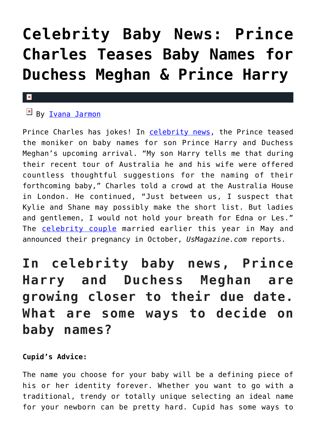# **[Celebrity Baby News: Prince](https://cupidspulse.com/127547/celebrity-baby-news-prince-charles-teases-baby-names-for-duchess-meghan-prince-harry/) [Charles Teases Baby Names for](https://cupidspulse.com/127547/celebrity-baby-news-prince-charles-teases-baby-names-for-duchess-meghan-prince-harry/) [Duchess Meghan & Prince Harry](https://cupidspulse.com/127547/celebrity-baby-news-prince-charles-teases-baby-names-for-duchess-meghan-prince-harry/)**

#### $\pmb{\times}$

## **EX By [Ivana Jarmon](http://cupidspulse.com/126746/ivana-jarmon/)**

Prince Charles has jokes! In [celebrity news](http://cupidspulse.com/), the Prince teased the moniker on baby names for son Prince Harry and Duchess Meghan's upcoming arrival. "My son Harry tells me that during their recent tour of Australia he and his wife were offered countless thoughtful suggestions for the naming of their forthcoming baby," Charles told a crowd at the Australia House in London. He continued, "Just between us, I suspect that Kylie and Shane may possibly make the short list. But ladies and gentlemen, I would not hold your breath for Edna or Les." The [celebrity couple](http://cupidspulse.com/celebrity-news/celebrity-dating/) married earlier this year in May and announced their pregnancy in October, *UsMagazine.com* reports.

# **In celebrity baby news, Prince Harry and Duchess Meghan are growing closer to their due date. What are some ways to decide on baby names?**

### **Cupid's Advice:**

The name you choose for your baby will be a defining piece of his or her identity forever. Whether you want to go with a traditional, trendy or totally unique selecting an ideal name for your newborn can be pretty hard. Cupid has some ways to